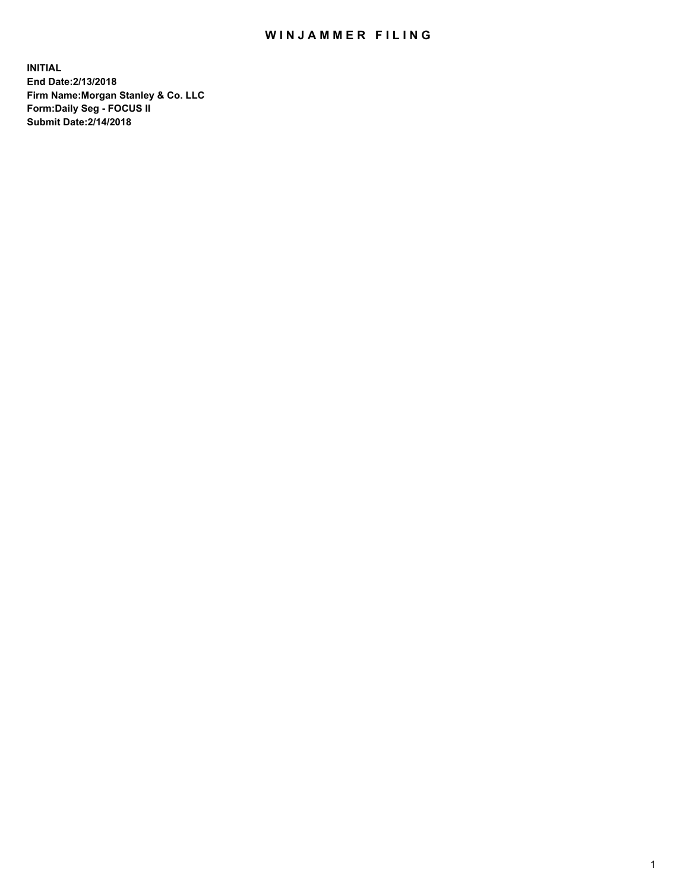## WIN JAMMER FILING

**INITIAL End Date:2/13/2018 Firm Name:Morgan Stanley & Co. LLC Form:Daily Seg - FOCUS II Submit Date:2/14/2018**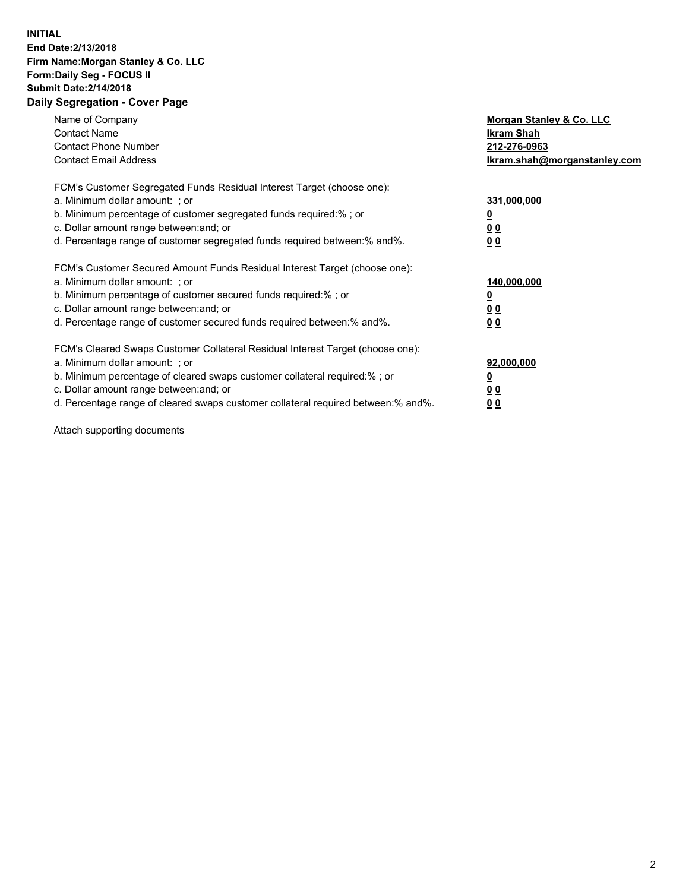## **INITIAL End Date:2/13/2018 Firm Name:Morgan Stanley & Co. LLC Form:Daily Seg - FOCUS II Submit Date:2/14/2018 Daily Segregation - Cover Page**

| Name of Company<br><b>Contact Name</b><br><b>Contact Phone Number</b><br><b>Contact Email Address</b>                                                                                                                                                                                                                          | Morgan Stanley & Co. LLC<br>Ikram Shah<br>212-276-0963<br>lkram.shah@morganstanley.com |
|--------------------------------------------------------------------------------------------------------------------------------------------------------------------------------------------------------------------------------------------------------------------------------------------------------------------------------|----------------------------------------------------------------------------------------|
| FCM's Customer Segregated Funds Residual Interest Target (choose one):<br>a. Minimum dollar amount: ; or<br>b. Minimum percentage of customer segregated funds required:%; or<br>c. Dollar amount range between: and; or<br>d. Percentage range of customer segregated funds required between: % and %.                        | 331,000,000<br>0 <sub>0</sub><br>00                                                    |
| FCM's Customer Secured Amount Funds Residual Interest Target (choose one):<br>a. Minimum dollar amount: ; or<br>b. Minimum percentage of customer secured funds required:%; or<br>c. Dollar amount range between: and; or<br>d. Percentage range of customer secured funds required between:% and%.                            | 140,000,000<br>0 <sub>0</sub><br>0 <sub>0</sub>                                        |
| FCM's Cleared Swaps Customer Collateral Residual Interest Target (choose one):<br>a. Minimum dollar amount: ; or<br>b. Minimum percentage of cleared swaps customer collateral required:% ; or<br>c. Dollar amount range between: and; or<br>d. Percentage range of cleared swaps customer collateral required between:% and%. | 92,000,000<br>0 <sub>0</sub><br>0 <sub>0</sub>                                         |

Attach supporting documents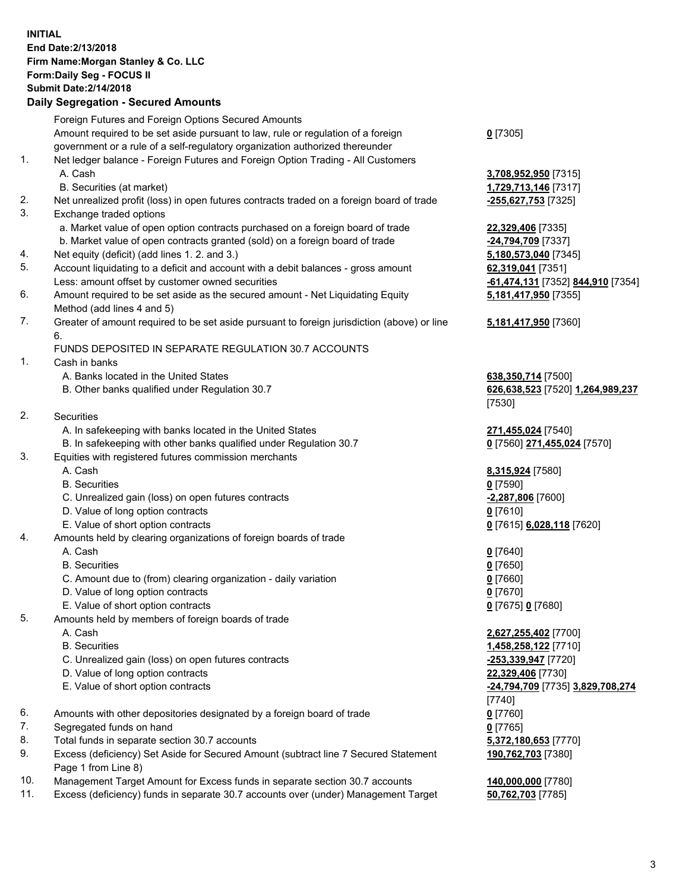## **INITIAL End Date:2/13/2018 Firm Name:Morgan Stanley & Co. LLC Form:Daily Seg - FOCUS II Submit Date:2/14/2018**

## **Daily Segregation - Secured Amounts**

|     | Foreign Futures and Foreign Options Secured Amounts                                                        |                                   |
|-----|------------------------------------------------------------------------------------------------------------|-----------------------------------|
|     | Amount required to be set aside pursuant to law, rule or regulation of a foreign                           | $0$ [7305]                        |
|     | government or a rule of a self-regulatory organization authorized thereunder                               |                                   |
| 1.  | Net ledger balance - Foreign Futures and Foreign Option Trading - All Customers                            |                                   |
|     | A. Cash                                                                                                    | 3,708,952,950 [7315]              |
|     | B. Securities (at market)                                                                                  | 1,729,713,146 [7317]              |
| 2.  | Net unrealized profit (loss) in open futures contracts traded on a foreign board of trade                  | -255,627,753 [7325]               |
| 3.  | Exchange traded options                                                                                    |                                   |
|     | a. Market value of open option contracts purchased on a foreign board of trade                             | 22,329,406 [7335]                 |
|     | b. Market value of open contracts granted (sold) on a foreign board of trade                               | -24,794,709 [7337]                |
| 4.  | Net equity (deficit) (add lines 1.2. and 3.)                                                               | 5,180,573,040 [7345]              |
| 5.  | Account liquidating to a deficit and account with a debit balances - gross amount                          | 62,319,041 [7351]                 |
|     | Less: amount offset by customer owned securities                                                           | -61,474,131 [7352] 844,910 [7354] |
| 6.  | Amount required to be set aside as the secured amount - Net Liquidating Equity                             | 5,181,417,950 [7355]              |
|     | Method (add lines 4 and 5)                                                                                 |                                   |
| 7.  | Greater of amount required to be set aside pursuant to foreign jurisdiction (above) or line                | 5,181,417,950 [7360]              |
|     | 6.                                                                                                         |                                   |
|     | FUNDS DEPOSITED IN SEPARATE REGULATION 30.7 ACCOUNTS                                                       |                                   |
| 1.  | Cash in banks                                                                                              |                                   |
|     | A. Banks located in the United States                                                                      | 638, 350, 714 [7500]              |
|     | B. Other banks qualified under Regulation 30.7                                                             | 626,638,523 [7520] 1,264,989,237  |
|     |                                                                                                            | [7530]                            |
| 2.  | Securities                                                                                                 |                                   |
|     | A. In safekeeping with banks located in the United States                                                  | 271,455,024 [7540]                |
|     | B. In safekeeping with other banks qualified under Regulation 30.7                                         | 0 [7560] 271,455,024 [7570]       |
| 3.  | Equities with registered futures commission merchants                                                      |                                   |
|     | A. Cash                                                                                                    | 8,315,924 [7580]                  |
|     | <b>B.</b> Securities                                                                                       | $0$ [7590]                        |
|     | C. Unrealized gain (loss) on open futures contracts                                                        | -2,287,806 [7600]                 |
|     | D. Value of long option contracts                                                                          | $0$ [7610]                        |
|     | E. Value of short option contracts                                                                         | 0 [7615] 6,028,118 [7620]         |
| 4.  | Amounts held by clearing organizations of foreign boards of trade                                          |                                   |
|     | A. Cash                                                                                                    | $0$ [7640]                        |
|     | <b>B.</b> Securities                                                                                       | $0$ [7650]                        |
|     | C. Amount due to (from) clearing organization - daily variation                                            | $0$ [7660]                        |
|     | D. Value of long option contracts                                                                          | $0$ [7670]                        |
|     | E. Value of short option contracts                                                                         | 0 [7675] 0 [7680]                 |
| 5.  | Amounts held by members of foreign boards of trade                                                         |                                   |
|     | A. Cash                                                                                                    | 2,627,255,402 [7700]              |
|     | <b>B.</b> Securities                                                                                       | 1,458,258,122 [7710]              |
|     | C. Unrealized gain (loss) on open futures contracts                                                        | -253,339,947 [7720]               |
|     | D. Value of long option contracts                                                                          | 22,329,406 [7730]                 |
|     | E. Value of short option contracts                                                                         | -24,794,709 [7735] 3,829,708,274  |
|     |                                                                                                            | [7740]                            |
| 6.  | Amounts with other depositories designated by a foreign board of trade                                     | $0$ [7760]                        |
| 7.  | Segregated funds on hand                                                                                   | $0$ [7765]                        |
| 8.  | Total funds in separate section 30.7 accounts                                                              | 5,372,180,653 [7770]              |
| 9.  | Excess (deficiency) Set Aside for Secured Amount (subtract line 7 Secured Statement<br>Page 1 from Line 8) | 190,762,703 [7380]                |
| 10. | Management Target Amount for Excess funds in separate section 30.7 accounts                                | 140,000,000 [7780]                |
|     |                                                                                                            |                                   |

11. Excess (deficiency) funds in separate 30.7 accounts over (under) Management Target **50,762,703** [7785]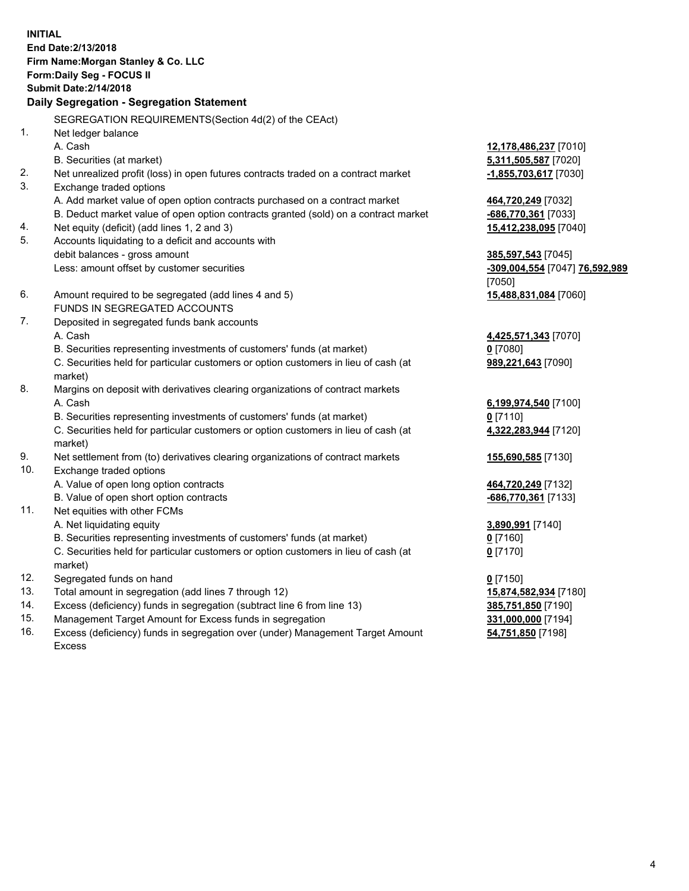**INITIAL End Date:2/13/2018 Firm Name:Morgan Stanley & Co. LLC Form:Daily Seg - FOCUS II Submit Date:2/14/2018 Daily Segregation - Segregation Statement** SEGREGATION REQUIREMENTS(Section 4d(2) of the CEAct) 1. Net ledger balance A. Cash **12,178,486,237** [7010] B. Securities (at market) **5,311,505,587** [7020] 2. Net unrealized profit (loss) in open futures contracts traded on a contract market **-1,855,703,617** [7030] 3. Exchange traded options A. Add market value of open option contracts purchased on a contract market **464,720,249** [7032] B. Deduct market value of open option contracts granted (sold) on a contract market **-686,770,361** [7033] 4. Net equity (deficit) (add lines 1, 2 and 3) **15,412,238,095** [7040] 5. Accounts liquidating to a deficit and accounts with debit balances - gross amount **385,597,543** [7045] Less: amount offset by customer securities **-309,004,554** [7047] **76,592,989** [7050] 6. Amount required to be segregated (add lines 4 and 5) **15,488,831,084** [7060] FUNDS IN SEGREGATED ACCOUNTS 7. Deposited in segregated funds bank accounts A. Cash **4,425,571,343** [7070] B. Securities representing investments of customers' funds (at market) **0** [7080] C. Securities held for particular customers or option customers in lieu of cash (at market) **989,221,643** [7090] 8. Margins on deposit with derivatives clearing organizations of contract markets A. Cash **6,199,974,540** [7100] B. Securities representing investments of customers' funds (at market) **0** [7110] C. Securities held for particular customers or option customers in lieu of cash (at market) **4,322,283,944** [7120] 9. Net settlement from (to) derivatives clearing organizations of contract markets **155,690,585** [7130] 10. Exchange traded options A. Value of open long option contracts **464,720,249** [7132] B. Value of open short option contracts **-686,770,361** [7133] 11. Net equities with other FCMs A. Net liquidating equity **3,890,991** [7140] B. Securities representing investments of customers' funds (at market) **0** [7160] C. Securities held for particular customers or option customers in lieu of cash (at market) **0** [7170] 12. Segregated funds on hand **0** [7150] 13. Total amount in segregation (add lines 7 through 12) **15,874,582,934** [7180] 14. Excess (deficiency) funds in segregation (subtract line 6 from line 13) **385,751,850** [7190]

- 15. Management Target Amount for Excess funds in segregation **331,000,000** [7194]
- 16. Excess (deficiency) funds in segregation over (under) Management Target Amount Excess

**54,751,850** [7198]